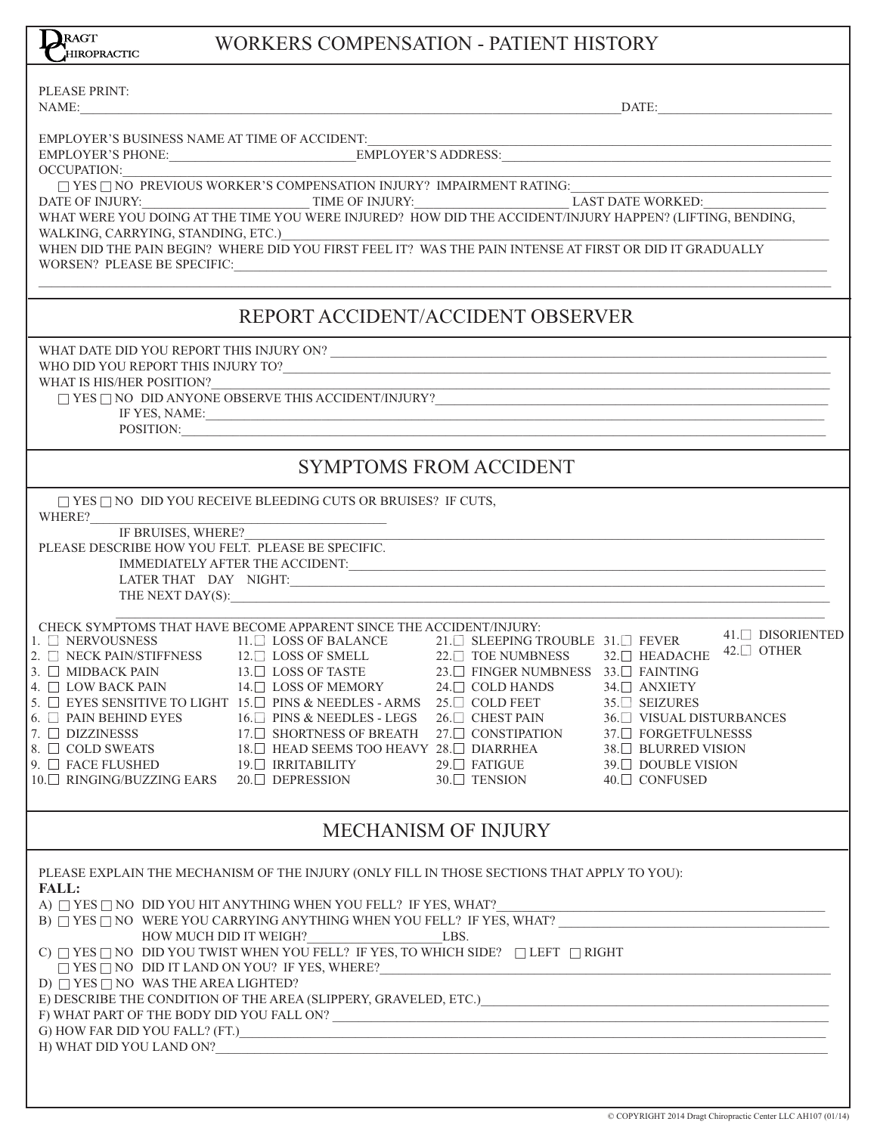| HIROPRACTIC                                                             | <u> MUNINING CUMI ENGAHUN - LAHENT HIGTUNI</u>                                                                                                                                                                                                                                                                                                                                                                                                                                                                                                                                                                                                                                                                                                                         |                               |                                                                                                                                         |                                 |
|-------------------------------------------------------------------------|------------------------------------------------------------------------------------------------------------------------------------------------------------------------------------------------------------------------------------------------------------------------------------------------------------------------------------------------------------------------------------------------------------------------------------------------------------------------------------------------------------------------------------------------------------------------------------------------------------------------------------------------------------------------------------------------------------------------------------------------------------------------|-------------------------------|-----------------------------------------------------------------------------------------------------------------------------------------|---------------------------------|
| PLEASE PRINT:<br>NAME:                                                  | $\blacksquare$ $\blacksquare$ $\blacksquare$ $\blacksquare$ $\blacksquare$ $\blacksquare$ $\blacksquare$ $\blacksquare$ $\blacksquare$ $\blacksquare$ $\blacksquare$ $\blacksquare$ $\blacksquare$ $\blacksquare$ $\blacksquare$ $\blacksquare$ $\blacksquare$ $\blacksquare$ $\blacksquare$ $\blacksquare$ $\blacksquare$ $\blacksquare$ $\blacksquare$ $\blacksquare$ $\blacksquare$ $\blacksquare$ $\blacksquare$ $\blacksquare$ $\blacksquare$ $\blacksquare$ $\blacksquare$ $\blacks$                                                                                                                                                                                                                                                                             |                               |                                                                                                                                         |                                 |
|                                                                         |                                                                                                                                                                                                                                                                                                                                                                                                                                                                                                                                                                                                                                                                                                                                                                        |                               |                                                                                                                                         |                                 |
|                                                                         | OCCUPATION:<br>$\begin{tabular}{l c c c c} \hline \multicolumn{3}{c}{OCCUPATION:} \hline \multicolumn{3}{c}{OCCUPATION:} \hline \multicolumn{3}{c}{PKE \cup NO \mbox{ PREVIOUS WORKER'S COMPENSATION INJURY? IMPAIRMENT RATING:} \hline \multicolumn{3}{c}{LAST \mbox{DATE workED:}} \hline \multicolumn{3}{c}{LAST \mbox{DATE workED:}} \hline \multicolumn{3}{c}{LAST \mbox{DATE workED:}} \hline \multicolumn{3}{c}{LAST \mbox{DATE workED:}} \hline \multicolumn{3}{c}{LAST \mbox{$                                                                                                                                                                                                                                                                                |                               |                                                                                                                                         |                                 |
| WALKING, CARRYING, STANDING, ETC.)                                      |                                                                                                                                                                                                                                                                                                                                                                                                                                                                                                                                                                                                                                                                                                                                                                        |                               |                                                                                                                                         |                                 |
|                                                                         | WHEN DID THE PAIN BEGIN? WHERE DID YOU FIRST FEEL IT? WAS THE PAIN INTENSE AT FIRST OR DID IT GRADUALLY<br>$\textit{WORSEN?}\textit{ PLEASE BE SPECIFIC:}\footnotesize\begin{tabular}{ l l } \hline \textit{WORSEN?} \end{tabular}$                                                                                                                                                                                                                                                                                                                                                                                                                                                                                                                                    |                               |                                                                                                                                         |                                 |
|                                                                         | REPORT ACCIDENT/ACCIDENT OBSERVER                                                                                                                                                                                                                                                                                                                                                                                                                                                                                                                                                                                                                                                                                                                                      |                               |                                                                                                                                         |                                 |
|                                                                         |                                                                                                                                                                                                                                                                                                                                                                                                                                                                                                                                                                                                                                                                                                                                                                        |                               |                                                                                                                                         |                                 |
| WHAT IS HIS/HER POSITION?                                               | IF YES, NAME:                                                                                                                                                                                                                                                                                                                                                                                                                                                                                                                                                                                                                                                                                                                                                          |                               |                                                                                                                                         |                                 |
|                                                                         | POSITION:                                                                                                                                                                                                                                                                                                                                                                                                                                                                                                                                                                                                                                                                                                                                                              |                               |                                                                                                                                         |                                 |
|                                                                         |                                                                                                                                                                                                                                                                                                                                                                                                                                                                                                                                                                                                                                                                                                                                                                        | <b>SYMPTOMS FROM ACCIDENT</b> |                                                                                                                                         |                                 |
| WHERE?                                                                  | $\Box$ YES $\Box$ NO DID YOU RECEIVE BLEEDING CUTS OR BRUISES? IF CUTS,                                                                                                                                                                                                                                                                                                                                                                                                                                                                                                                                                                                                                                                                                                |                               |                                                                                                                                         |                                 |
| IF BRUISES, WHERE?<br>PLEASE DESCRIBE HOW YOU FELT. PLEASE BE SPECIFIC. |                                                                                                                                                                                                                                                                                                                                                                                                                                                                                                                                                                                                                                                                                                                                                                        |                               |                                                                                                                                         |                                 |
|                                                                         | CHECK SYMPTOMS THAT HAVE BECOME APPARENT SINCE THE ACCIDENT/INJURY:<br>$\begin{array}{llllllll} 1. & \text{L} & \text{NERVOUSNESS} & & & & 11. \text{L} & \text{LOSS OF BALANCE} & & & 21. \text{L} & \text{SLEEPING TROUBLE} & 31. \text{L} & \text{FEVER} \\ 2. & \text{L} & \text{NECK PAN/STIFFNESS} & & 12. \text{L} & \text{LOSS OF SALANCE} & & 22. \text{L} & \text{TOE NUMBNESS} & 32. \text{L} & \text{HEADACHE} \\ 3. & \text{L} & \text{MIDBACK PAN} & & 13. \text{L} & \text{LOSS OF TASTE}$<br>5. $\Box$ EYES SENSITIVE TO LIGHT 15. $\Box$ PINS & NEEDLES - ARMS 25. $\Box$ COLD FEET                                                                                                                                                                   |                               | <u> 1980 - Johann Barn, mars ar breithinn ar chwaraeth a bhaile ann an t-an an t-an ann an t-an ann an t-an ann a</u><br>$35.$ SEIZURES | $41.$ DISORIENTED<br>42.□ OTHER |
| $6.$ $\Box$ PAIN BEHIND EYES                                            | $16.\Box$ PINS & NEEDLES - LEGS $26.\Box$ CHEST PAIN $36.\Box$ VISUAL DISTURBANCES<br>$\begin{array}{lllllllllllllllllll} \text{7.} & \text{D}\text{ DIZZINESSS} & & & & \text{17.}\text{D} & \text{SHORTNESS OF BREATH} & & \text{27.}\text{D} & \text{CONSTIPATION} & & \text{37.}\text{D} & \text{FORGETFULNESS} \\ \text{8.} & \text{COLD SWEATS} & & & \text{18.}\text{D} & \text{HEAD SEEMS TOO HEAVY} & \text{28.}\text{D} & \text{DIARRHEA} & & \text{38.}\text{D} & \text{BLURRED VISION} \\ \text{9.}\text{D} & \text{RACE FLUSHED}$                                                                                                                                                                                                                         |                               |                                                                                                                                         |                                 |
|                                                                         |                                                                                                                                                                                                                                                                                                                                                                                                                                                                                                                                                                                                                                                                                                                                                                        | <b>MECHANISM OF INJURY</b>    |                                                                                                                                         |                                 |
| <b>FALL:</b><br>D) $\Box$ YES $\Box$ NO WAS THE AREA LIGHTED?           | PLEASE EXPLAIN THE MECHANISM OF THE INJURY (ONLY FILL IN THOSE SECTIONS THAT APPLY TO YOU):<br>A) $\Box$ YES $\Box$ NO $\,$ DID YOU HIT ANYTHING WHEN YOU FELL? IF YES, WHAT? $\_$ B) $\Box$ YES $\Box$ NO $\,$ WERE YOU CARRYING ANYTHING WHEN YOU FELL? IF YES, WHAT? $\_$<br>HOW MUCH DID IT WEIGH? LBS.<br>C) $\Box$ YES $\Box$ NO DID YOU TWIST WHEN YOU FELL? IF YES, TO WHICH SIDE? $\Box$ LEFT $\Box$ RIGHT<br>$\square$ YES $\square$ NO $\ldots$ DID IT LAND ON YOU? IF YES, WHERE?<br>E) DESCRIBE THE CONDITION OF THE AREA (SLIPPERY, GRAVELED, ETC.) CONDITIONAL CONDITION OF THE AREA (SLIPPERY, GRAVELED, ETC.)<br>F) WHAT PART OF THE BODY DID YOU FALL ON? $\overline{\phantom{a}}$<br>$\left( 6 \right)$ HOW FAR DID YOU FALL? (FT.) $\qquad \qquad$ |                               |                                                                                                                                         |                                 |
|                                                                         | H) WHAT DID YOU LAND ON?                                                                                                                                                                                                                                                                                                                                                                                                                                                                                                                                                                                                                                                                                                                                               |                               |                                                                                                                                         |                                 |

WORKERS COMPENSATION - PATIENT HISTORY

RAGT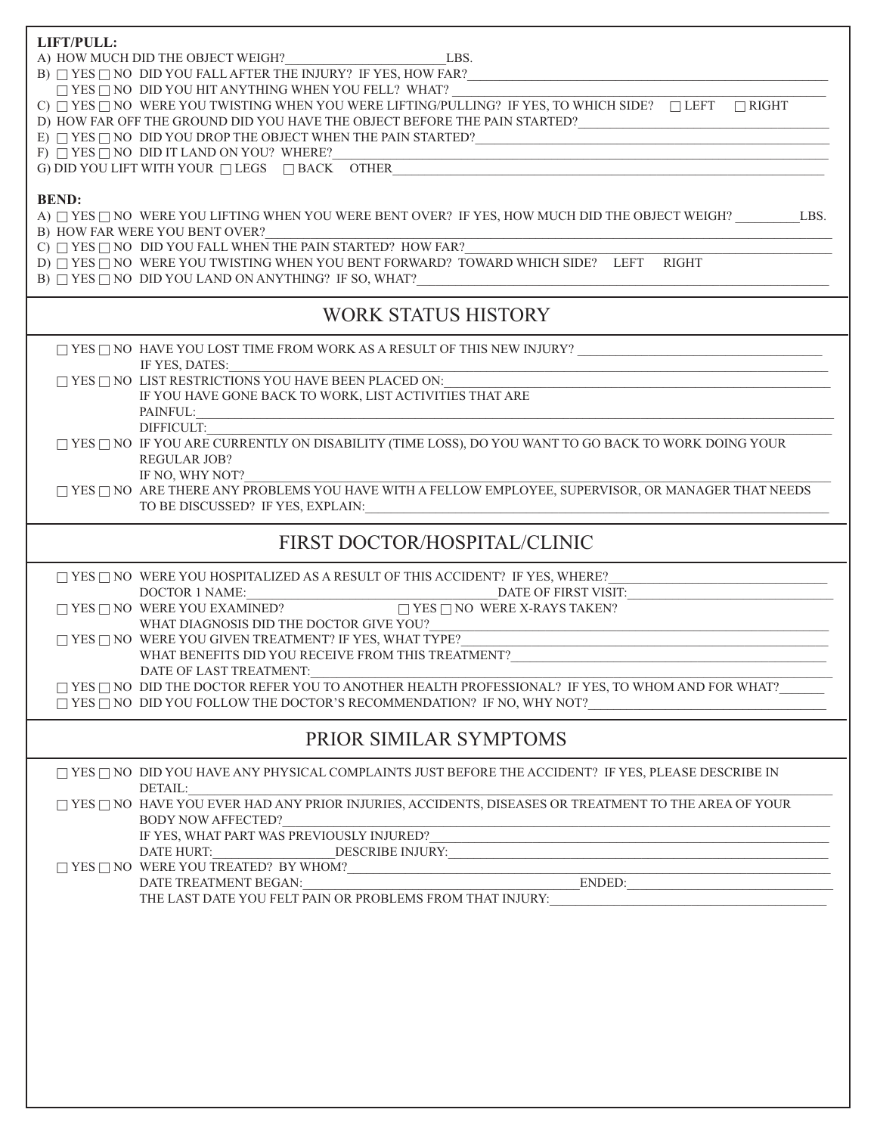| LIFT/PULL:                                                                                                                                                                                                                                                                                                                                                                                                                                                                                                                  |  |  |  |  |  |  |
|-----------------------------------------------------------------------------------------------------------------------------------------------------------------------------------------------------------------------------------------------------------------------------------------------------------------------------------------------------------------------------------------------------------------------------------------------------------------------------------------------------------------------------|--|--|--|--|--|--|
| A) HOW MUCH DID THE OBJECT WEIGH? LBS.                                                                                                                                                                                                                                                                                                                                                                                                                                                                                      |  |  |  |  |  |  |
| B) $\Box$ YES $\Box$ NO DID YOU FALL AFTER THE INJURY? IF YES, HOW FAR?<br><u> 1988 - Johann John Stone, meil in der Stone aus der Stone aus der Stone aus der Stone aus der Stone aus der S</u>                                                                                                                                                                                                                                                                                                                            |  |  |  |  |  |  |
| $\Box$ YES $\Box$ NO DID YOU HIT ANYTHING WHEN YOU FELL? WHAT?                                                                                                                                                                                                                                                                                                                                                                                                                                                              |  |  |  |  |  |  |
| C) $\Box$ YES $\Box$ NO WERE YOU TWISTING WHEN YOU WERE LIFTING/PULLING? IF YES, TO WHICH SIDE? $\Box$ LEFT $\Box$ RIGHT                                                                                                                                                                                                                                                                                                                                                                                                    |  |  |  |  |  |  |
| D) HOW FAR OFF THE GROUND DID YOU HAVE THE OBJECT BEFORE THE PAIN STARTED?                                                                                                                                                                                                                                                                                                                                                                                                                                                  |  |  |  |  |  |  |
| E) $\Box$ YES $\Box$ NO $\,$ DID YOU DROP THE OBJECT WHEN THE PAIN STARTED? $\_\_$                                                                                                                                                                                                                                                                                                                                                                                                                                          |  |  |  |  |  |  |
| F) $\Box$ YES $\Box$ NO DID IT LAND ON YOU? WHERE?<br>G) DID YOU LIFT WITH YOUR $\Box$ LEGS $\Box$ BACK OTHER                                                                                                                                                                                                                                                                                                                                                                                                               |  |  |  |  |  |  |
|                                                                                                                                                                                                                                                                                                                                                                                                                                                                                                                             |  |  |  |  |  |  |
|                                                                                                                                                                                                                                                                                                                                                                                                                                                                                                                             |  |  |  |  |  |  |
| <b>BEND:</b>                                                                                                                                                                                                                                                                                                                                                                                                                                                                                                                |  |  |  |  |  |  |
| A) □ YES □ NO WERE YOU LIFTING WHEN YOU WERE BENT OVER? IF YES, HOW MUCH DID THE OBJECT WEIGH? LBS.                                                                                                                                                                                                                                                                                                                                                                                                                         |  |  |  |  |  |  |
| B) HOW FAR WERE YOU BENT OVER?                                                                                                                                                                                                                                                                                                                                                                                                                                                                                              |  |  |  |  |  |  |
| C) $\Box$ YES $\Box$ NO DID YOU FALL WHEN THE PAIN STARTED? HOW FAR?<br>D) $\Box$ YES $\Box$ NO WERE YOU TWISTING WHEN YOU BENT FORWARD? TOWARD WHICH SIDE? LEFT RIGHT                                                                                                                                                                                                                                                                                                                                                      |  |  |  |  |  |  |
|                                                                                                                                                                                                                                                                                                                                                                                                                                                                                                                             |  |  |  |  |  |  |
|                                                                                                                                                                                                                                                                                                                                                                                                                                                                                                                             |  |  |  |  |  |  |
|                                                                                                                                                                                                                                                                                                                                                                                                                                                                                                                             |  |  |  |  |  |  |
| <b>WORK STATUS HISTORY</b>                                                                                                                                                                                                                                                                                                                                                                                                                                                                                                  |  |  |  |  |  |  |
|                                                                                                                                                                                                                                                                                                                                                                                                                                                                                                                             |  |  |  |  |  |  |
| IF YES, DATES:                                                                                                                                                                                                                                                                                                                                                                                                                                                                                                              |  |  |  |  |  |  |
| $\Box$ YES $\Box$ NO LIST RESTRICTIONS YOU HAVE BEEN PLACED ON:                                                                                                                                                                                                                                                                                                                                                                                                                                                             |  |  |  |  |  |  |
| IF YOU HAVE GONE BACK TO WORK, LIST ACTIVITIES THAT ARE                                                                                                                                                                                                                                                                                                                                                                                                                                                                     |  |  |  |  |  |  |
| PAINFUL:                                                                                                                                                                                                                                                                                                                                                                                                                                                                                                                    |  |  |  |  |  |  |
| <u> 1989 - Johann Stoff, deutscher Stoffen und der Stoffen und der Stoffen und der Stoffen und der Stoffen und der</u><br>DIFFICULT:                                                                                                                                                                                                                                                                                                                                                                                        |  |  |  |  |  |  |
| $\Box$ YES $\Box$ NO IF YOU ARE CURRENTLY ON DISABILITY (TIME LOSS), DO YOU WANT TO GO BACK TO WORK DOING YOUR                                                                                                                                                                                                                                                                                                                                                                                                              |  |  |  |  |  |  |
| <b>REGULAR JOB?</b>                                                                                                                                                                                                                                                                                                                                                                                                                                                                                                         |  |  |  |  |  |  |
| IF NO, WHY NOT?                                                                                                                                                                                                                                                                                                                                                                                                                                                                                                             |  |  |  |  |  |  |
| $\square$ YES $\square$ NO ARE THERE ANY PROBLEMS YOU HAVE WITH A FELLOW EMPLOYEE, SUPERVISOR, OR MANAGER THAT NEEDS                                                                                                                                                                                                                                                                                                                                                                                                        |  |  |  |  |  |  |
| TO BE DISCUSSED? IF YES, EXPLAIN:                                                                                                                                                                                                                                                                                                                                                                                                                                                                                           |  |  |  |  |  |  |
|                                                                                                                                                                                                                                                                                                                                                                                                                                                                                                                             |  |  |  |  |  |  |
| FIRST DOCTOR/HOSPITAL/CLINIC                                                                                                                                                                                                                                                                                                                                                                                                                                                                                                |  |  |  |  |  |  |
|                                                                                                                                                                                                                                                                                                                                                                                                                                                                                                                             |  |  |  |  |  |  |
| $\Box$ YES $\Box$ NO WERE YOU HOSPITALIZED AS A RESULT OF THIS ACCIDENT? IF YES, WHERE?                                                                                                                                                                                                                                                                                                                                                                                                                                     |  |  |  |  |  |  |
| DATE OF FIRST VISIT:<br>$\begin{tabular}{c} DOCTOR 1 NAME: \begin{tabular}{l c} DACES \end{tabular} \end{tabular} \begin{tabular}{l c} DACES \end{tabular} \end{tabular} \begin{tabular}{l c} DACES \end{tabular} \begin{tabular}{l c} DACES \end{tabular} \end{tabular} \begin{tabular}{l c} DACES \end{tabular} \end{tabular} \begin{tabular}{l c} DACES \end{tabular} \begin{tabular}{l c} DACES \end{tabular} \end{tabular} \begin{tabular}{l c} DACES \end{tabular} \end{tabular} \begin{tabular}{l c} DACES \end{tab$ |  |  |  |  |  |  |
|                                                                                                                                                                                                                                                                                                                                                                                                                                                                                                                             |  |  |  |  |  |  |
| WHAT DIAGNOSIS DID THE DOCTOR GIVE YOU?<br><u> 1980 - Johann Johann Stoff, deutscher Stoffen und der Stoffen und der Stoffen und der Stoffen und der Stoffen</u>                                                                                                                                                                                                                                                                                                                                                            |  |  |  |  |  |  |
| $\Box$ YES $\Box$ NO WERE YOU GIVEN TREATMENT? IF YES, WHAT TYPE?                                                                                                                                                                                                                                                                                                                                                                                                                                                           |  |  |  |  |  |  |
| WHAT BENEFITS DID YOU RECEIVE FROM THIS TREATMENT?                                                                                                                                                                                                                                                                                                                                                                                                                                                                          |  |  |  |  |  |  |
| DATE OF LAST TREATMENT:                                                                                                                                                                                                                                                                                                                                                                                                                                                                                                     |  |  |  |  |  |  |
| $\Box$ YES $\Box$ NO DID THE DOCTOR REFER YOU TO ANOTHER HEALTH PROFESSIONAL? IF YES, TO WHOM AND FOR WHAT?                                                                                                                                                                                                                                                                                                                                                                                                                 |  |  |  |  |  |  |
|                                                                                                                                                                                                                                                                                                                                                                                                                                                                                                                             |  |  |  |  |  |  |
| PRIOR SIMILAR SYMPTOMS                                                                                                                                                                                                                                                                                                                                                                                                                                                                                                      |  |  |  |  |  |  |
|                                                                                                                                                                                                                                                                                                                                                                                                                                                                                                                             |  |  |  |  |  |  |
| $\Box$ YES $\Box$ NO DID YOU HAVE ANY PHYSICAL COMPLAINTS JUST BEFORE THE ACCIDENT? IF YES, PLEASE DESCRIBE IN                                                                                                                                                                                                                                                                                                                                                                                                              |  |  |  |  |  |  |
| DETAIL:<br>TYES TINO HAVE YOU EVER HAD ANY PRIOR INJURIES, ACCIDENTS, DISEASES OR TREATMENT TO THE AREA OF YOUR                                                                                                                                                                                                                                                                                                                                                                                                             |  |  |  |  |  |  |
| <b>BODY NOW AFFECTED?</b>                                                                                                                                                                                                                                                                                                                                                                                                                                                                                                   |  |  |  |  |  |  |
| IF YES, WHAT PART WAS PREVIOUSLY INJURED?                                                                                                                                                                                                                                                                                                                                                                                                                                                                                   |  |  |  |  |  |  |
|                                                                                                                                                                                                                                                                                                                                                                                                                                                                                                                             |  |  |  |  |  |  |
|                                                                                                                                                                                                                                                                                                                                                                                                                                                                                                                             |  |  |  |  |  |  |
|                                                                                                                                                                                                                                                                                                                                                                                                                                                                                                                             |  |  |  |  |  |  |
| $\begin{tabular}{c} $\fbox{ } \textsc{Yes} $\fbox{~NO}$ \textit{ WERE YOU} \textit{TREATED? } \textsc{BY} \textit{WHOM?} \end{tabular} \begin{tabular}{c} \hline \textit{ENDED:} \end{tabular} \begin{tabular}{c} \hline \textit{ENDED:} \end{tabular} \end{tabular} \begin{tabular}{c} \hline \textit{ENDED:} \end{tabular} \end{tabular} \begin{tabular}{c} \hline \textit{ENDED:} \end{tabular} \end{tabular} \begin{tabular}{c} \hline \textit{ENDED:} \end{tabular} \end{tabular} \begin{tabular}{c$                   |  |  |  |  |  |  |
|                                                                                                                                                                                                                                                                                                                                                                                                                                                                                                                             |  |  |  |  |  |  |
|                                                                                                                                                                                                                                                                                                                                                                                                                                                                                                                             |  |  |  |  |  |  |
|                                                                                                                                                                                                                                                                                                                                                                                                                                                                                                                             |  |  |  |  |  |  |
|                                                                                                                                                                                                                                                                                                                                                                                                                                                                                                                             |  |  |  |  |  |  |
|                                                                                                                                                                                                                                                                                                                                                                                                                                                                                                                             |  |  |  |  |  |  |
|                                                                                                                                                                                                                                                                                                                                                                                                                                                                                                                             |  |  |  |  |  |  |
|                                                                                                                                                                                                                                                                                                                                                                                                                                                                                                                             |  |  |  |  |  |  |
|                                                                                                                                                                                                                                                                                                                                                                                                                                                                                                                             |  |  |  |  |  |  |
|                                                                                                                                                                                                                                                                                                                                                                                                                                                                                                                             |  |  |  |  |  |  |
|                                                                                                                                                                                                                                                                                                                                                                                                                                                                                                                             |  |  |  |  |  |  |
|                                                                                                                                                                                                                                                                                                                                                                                                                                                                                                                             |  |  |  |  |  |  |
|                                                                                                                                                                                                                                                                                                                                                                                                                                                                                                                             |  |  |  |  |  |  |
|                                                                                                                                                                                                                                                                                                                                                                                                                                                                                                                             |  |  |  |  |  |  |